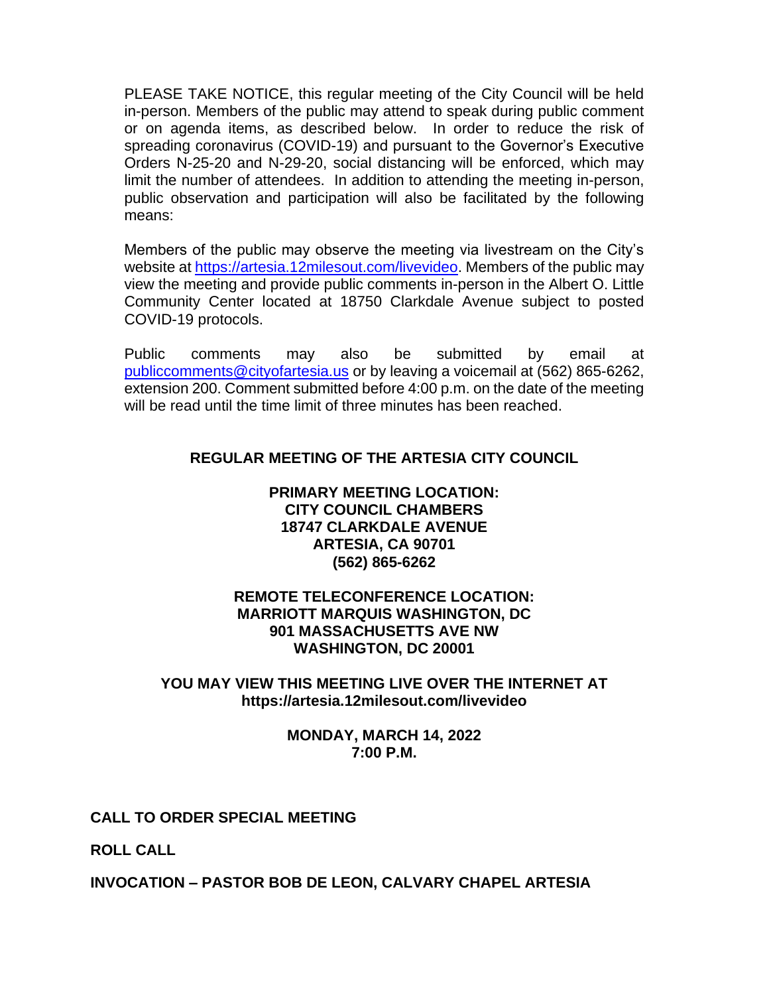PLEASE TAKE NOTICE, this regular meeting of the City Council will be held in-person. Members of the public may attend to speak during public comment or on agenda items, as described below. In order to reduce the risk of spreading coronavirus (COVID-19) and pursuant to the Governor's Executive Orders N-25-20 and N-29-20, social distancing will be enforced, which may limit the number of attendees. In addition to attending the meeting in-person, public observation and participation will also be facilitated by the following means:

Members of the public may observe the meeting via livestream on the City's website at [https://artesia.12milesout.com/livevideo.](https://artesia.12milesout.com/livevideo) Members of the public may view the meeting and provide public comments in-person in the Albert O. Little Community Center located at 18750 Clarkdale Avenue subject to posted COVID-19 protocols.

Public comments may also be submitted by email at [publiccomments@cityofartesia.us](mailto:publiccomments@cityofartesia.us) or by leaving a voicemail at (562) 865-6262, extension 200. Comment submitted before 4:00 p.m. on the date of the meeting will be read until the time limit of three minutes has been reached.

# **REGULAR MEETING OF THE ARTESIA CITY COUNCIL**

### **PRIMARY MEETING LOCATION: CITY COUNCIL CHAMBERS 18747 CLARKDALE AVENUE ARTESIA, CA 90701 (562) 865-6262**

## **REMOTE TELECONFERENCE LOCATION: MARRIOTT MARQUIS WASHINGTON, DC 901 MASSACHUSETTS AVE NW WASHINGTON, DC 20001**

## **YOU MAY VIEW THIS MEETING LIVE OVER THE INTERNET AT https://artesia.12milesout.com/livevideo**

#### **MONDAY, MARCH 14, 2022 7:00 P.M.**

## **CALL TO ORDER SPECIAL MEETING**

**ROLL CALL** 

## **INVOCATION – PASTOR BOB DE LEON, CALVARY CHAPEL ARTESIA**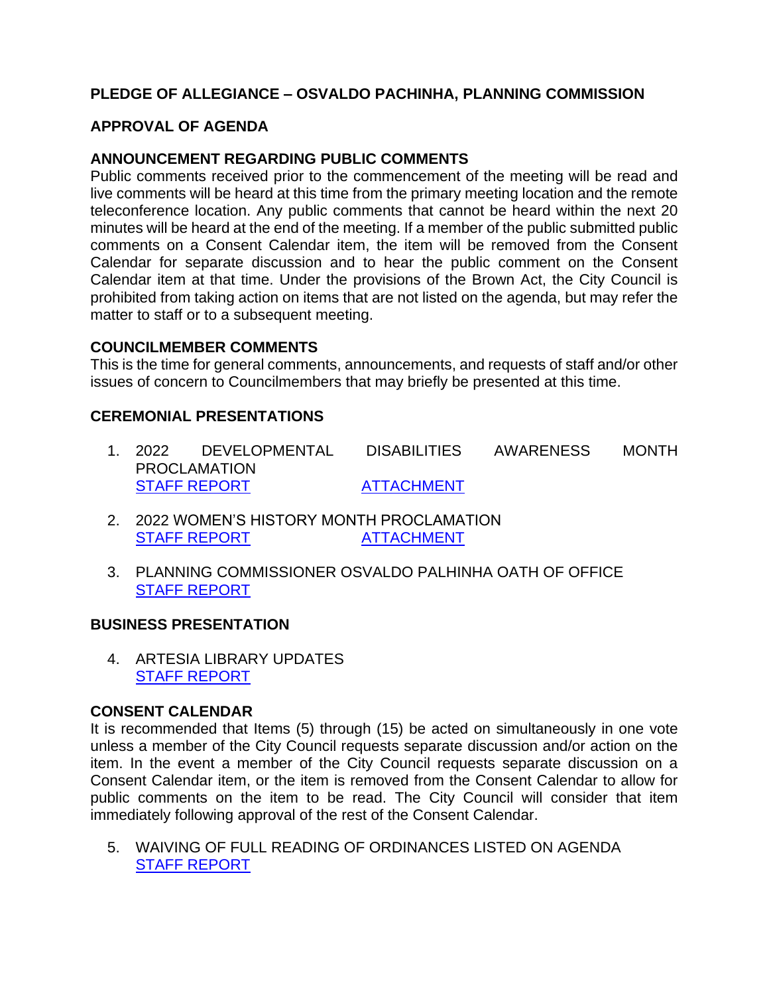# **PLEDGE OF ALLEGIANCE – OSVALDO PACHINHA, PLANNING COMMISSION**

# **APPROVAL OF AGENDA**

## **ANNOUNCEMENT REGARDING PUBLIC COMMENTS**

Public comments received prior to the commencement of the meeting will be read and live comments will be heard at this time from the primary meeting location and the remote teleconference location. Any public comments that cannot be heard within the next 20 minutes will be heard at the end of the meeting. If a member of the public submitted public comments on a Consent Calendar item, the item will be removed from the Consent Calendar for separate discussion and to hear the public comment on the Consent Calendar item at that time. Under the provisions of the Brown Act, the City Council is prohibited from taking action on items that are not listed on the agenda, but may refer the matter to staff or to a subsequent meeting.

#### **COUNCILMEMBER COMMENTS**

This is the time for general comments, announcements, and requests of staff and/or other issues of concern to Councilmembers that may briefly be presented at this time.

## **CEREMONIAL PRESENTATIONS**

- 1. 2022 DEVELOPMENTAL DISABILITIES AWARENESS MONTH PROCLAMATION [STAFF REPORT](https://www.cityofartesia.us/DocumentCenter/View/5268/1) [ATTACHMENT](https://www.cityofartesia.us/DocumentCenter/View/5304/1---ATTACH)
- 2. 2022 WOMEN'S HISTORY MONTH PROCLAMATION [STAFF REPORT](https://www.cityofartesia.us/DocumentCenter/View/5270/2) [ATTACHMENT](https://www.cityofartesia.us/DocumentCenter/View/5269/2---ATTACH)
- 3. PLANNING COMMISSIONER OSVALDO PALHINHA OATH OF OFFICE [STAFF REPORT](https://www.cityofartesia.us/DocumentCenter/View/5271/3)

#### **BUSINESS PRESENTATION**

4. ARTESIA LIBRARY UPDATES [STAFF REPORT](https://www.cityofartesia.us/DocumentCenter/View/5272/4)

## **CONSENT CALENDAR**

It is recommended that Items (5) through (15) be acted on simultaneously in one vote unless a member of the City Council requests separate discussion and/or action on the item. In the event a member of the City Council requests separate discussion on a Consent Calendar item, or the item is removed from the Consent Calendar to allow for public comments on the item to be read. The City Council will consider that item immediately following approval of the rest of the Consent Calendar.

5. WAIVING OF FULL READING OF ORDINANCES LISTED ON AGENDA [STAFF REPORT](https://www.cityofartesia.us/DocumentCenter/View/5273/5)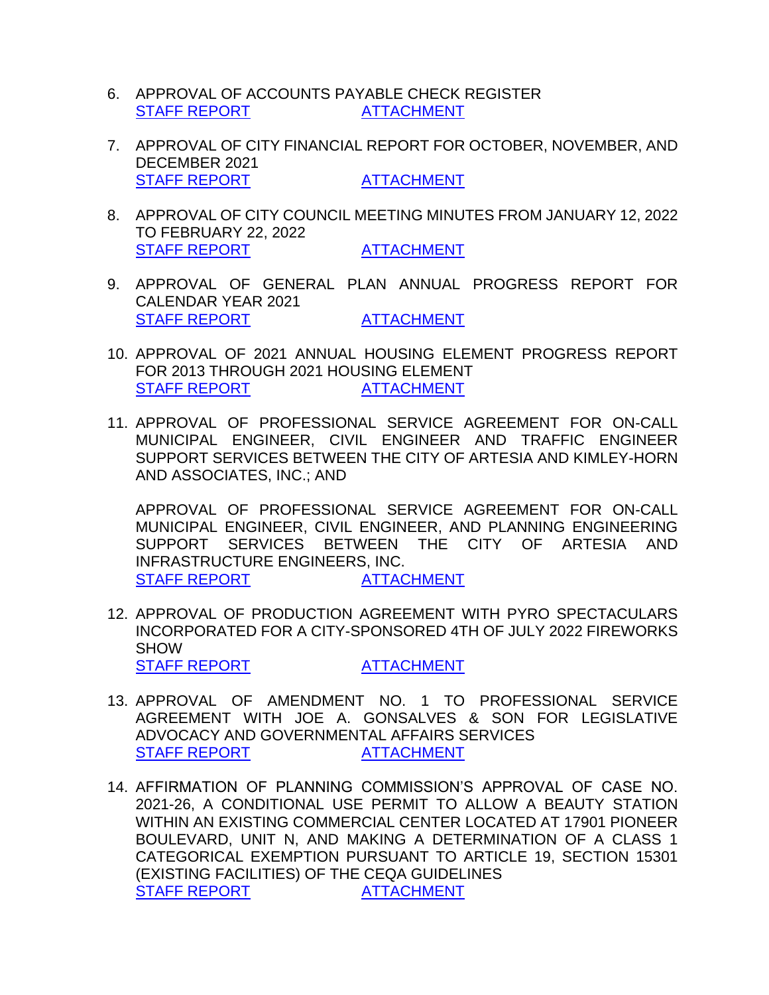- 6. APPROVAL OF ACCOUNTS PAYABLE CHECK REGISTER [STAFF REPORT](https://www.cityofartesia.us/DocumentCenter/View/5275/6) [ATTACHMENT](https://www.cityofartesia.us/DocumentCenter/View/5274/6---ATTACH)
- 7. APPROVAL OF CITY FINANCIAL REPORT FOR OCTOBER, NOVEMBER, AND DECEMBER 2021 [STAFF REPORT](https://www.cityofartesia.us/DocumentCenter/View/5277/7) [ATTACHMENT](https://www.cityofartesia.us/DocumentCenter/View/5276/7---ATTACH)
- 8. APPROVAL OF CITY COUNCIL MEETING MINUTES FROM JANUARY 12, 2022 TO FEBRUARY 22, 2022 [STAFF REPORT](https://www.cityofartesia.us/DocumentCenter/View/5279/8) [ATTACHMENT](https://www.cityofartesia.us/DocumentCenter/View/5278/8---ATTACH)
- 9. APPROVAL OF GENERAL PLAN ANNUAL PROGRESS REPORT FOR CALENDAR YEAR 2021 [STAFF REPORT](https://www.cityofartesia.us/DocumentCenter/View/5281/9) [ATTACHMENT](https://www.cityofartesia.us/DocumentCenter/View/5280/9---ATTACH)
- 10. APPROVAL OF 2021 ANNUAL HOUSING ELEMENT PROGRESS REPORT FOR 2013 THROUGH 2021 HOUSING ELEMENT [STAFF REPORT](https://www.cityofartesia.us/DocumentCenter/View/5283/10) [ATTACHMENT](https://www.cityofartesia.us/DocumentCenter/View/5282/10---ATTACH)
- 11. APPROVAL OF PROFESSIONAL SERVICE AGREEMENT FOR ON-CALL MUNICIPAL ENGINEER, CIVIL ENGINEER AND TRAFFIC ENGINEER SUPPORT SERVICES BETWEEN THE CITY OF ARTESIA AND KIMLEY-HORN AND ASSOCIATES, INC.; AND

APPROVAL OF PROFESSIONAL SERVICE AGREEMENT FOR ON-CALL MUNICIPAL ENGINEER, CIVIL ENGINEER, AND PLANNING ENGINEERING SUPPORT SERVICES BETWEEN THE CITY OF ARTESIA AND INFRASTRUCTURE ENGINEERS, INC. [STAFF REPORT](https://www.cityofartesia.us/DocumentCenter/View/5285/11) [ATTACHMENT](https://www.cityofartesia.us/DocumentCenter/View/5284/11---ATTACH)

- 12. APPROVAL OF PRODUCTION AGREEMENT WITH PYRO SPECTACULARS INCORPORATED FOR A CITY-SPONSORED 4TH OF JULY 2022 FIREWORKS **SHOW** [STAFF REPORT](https://www.cityofartesia.us/DocumentCenter/View/5287/12) [ATTACHMENT](https://www.cityofartesia.us/DocumentCenter/View/5286/12---ATTACH)
- 13. APPROVAL OF AMENDMENT NO. 1 TO PROFESSIONAL SERVICE AGREEMENT WITH JOE A. GONSALVES & SON FOR LEGISLATIVE ADVOCACY AND GOVERNMENTAL AFFAIRS SERVICES [STAFF REPORT](https://www.cityofartesia.us/DocumentCenter/View/5289/13) [ATTACHMENT](https://www.cityofartesia.us/DocumentCenter/View/5288/13---ATTACH)
- 14. AFFIRMATION OF PLANNING COMMISSION'S APPROVAL OF CASE NO. 2021-26, A CONDITIONAL USE PERMIT TO ALLOW A BEAUTY STATION WITHIN AN EXISTING COMMERCIAL CENTER LOCATED AT 17901 PIONEER BOULEVARD, UNIT N, AND MAKING A DETERMINATION OF A CLASS 1 CATEGORICAL EXEMPTION PURSUANT TO ARTICLE 19, SECTION 15301 (EXISTING FACILITIES) OF THE CEQA GUIDELINES [STAFF REPORT](https://www.cityofartesia.us/DocumentCenter/View/5291/14) **[ATTACHMENT](https://www.cityofartesia.us/DocumentCenter/View/5290/14---ATTACH)**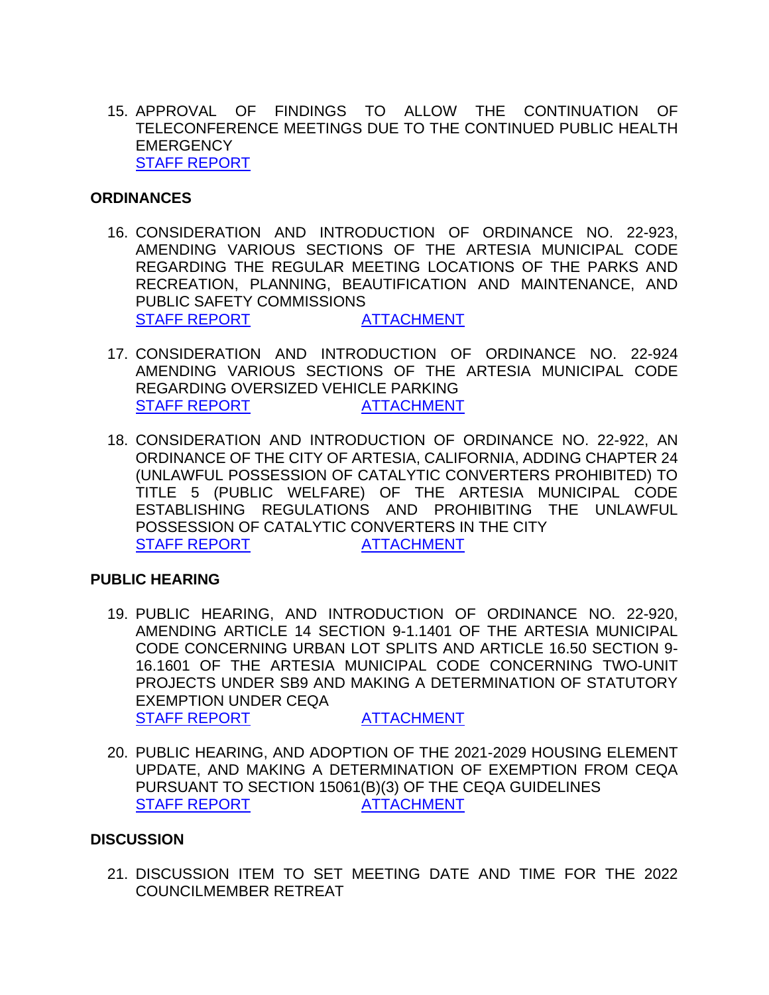15. APPROVAL OF FINDINGS TO ALLOW THE CONTINUATION OF TELECONFERENCE MEETINGS DUE TO THE CONTINUED PUBLIC HEALTH **EMERGENCY** [STAFF REPORT](https://www.cityofartesia.us/DocumentCenter/View/5292/15)

#### **ORDINANCES**

- 16. CONSIDERATION AND INTRODUCTION OF ORDINANCE NO. 22-923, AMENDING VARIOUS SECTIONS OF THE ARTESIA MUNICIPAL CODE REGARDING THE REGULAR MEETING LOCATIONS OF THE PARKS AND RECREATION, PLANNING, BEAUTIFICATION AND MAINTENANCE, AND PUBLIC SAFETY COMMISSIONS [STAFF REPORT](https://www.cityofartesia.us/DocumentCenter/View/5294/16) [ATTACHMENT](https://www.cityofartesia.us/DocumentCenter/View/5293/16---ATTACH)
- 17. CONSIDERATION AND INTRODUCTION OF ORDINANCE NO. 22-924 AMENDING VARIOUS SECTIONS OF THE ARTESIA MUNICIPAL CODE REGARDING OVERSIZED VEHICLE PARKING [STAFF REPORT](https://www.cityofartesia.us/DocumentCenter/View/5296/17) [ATTACHMENT](https://www.cityofartesia.us/DocumentCenter/View/5295/17---ATTACH)
- 18. CONSIDERATION AND INTRODUCTION OF ORDINANCE NO. 22-922, AN ORDINANCE OF THE CITY OF ARTESIA, CALIFORNIA, ADDING CHAPTER 24 (UNLAWFUL POSSESSION OF CATALYTIC CONVERTERS PROHIBITED) TO TITLE 5 (PUBLIC WELFARE) OF THE ARTESIA MUNICIPAL CODE ESTABLISHING REGULATIONS AND PROHIBITING THE UNLAWFUL POSSESSION OF CATALYTIC CONVERTERS IN THE CITY [STAFF REPORT](https://www.cityofartesia.us/DocumentCenter/View/5298/18) [ATTACHMENT](https://www.cityofartesia.us/DocumentCenter/View/5297/18---ATTACH)

## **PUBLIC HEARING**

- 19. PUBLIC HEARING, AND INTRODUCTION OF ORDINANCE NO. 22-920, AMENDING ARTICLE 14 SECTION 9-1.1401 OF THE ARTESIA MUNICIPAL CODE CONCERNING URBAN LOT SPLITS AND ARTICLE 16.50 SECTION 9- 16.1601 OF THE ARTESIA MUNICIPAL CODE CONCERNING TWO-UNIT PROJECTS UNDER SB9 AND MAKING A DETERMINATION OF STATUTORY EXEMPTION UNDER CEQA [STAFF REPORT](https://www.cityofartesia.us/DocumentCenter/View/5300/19) [ATTACHMENT](https://www.cityofartesia.us/DocumentCenter/View/5299/19---ATTACH)
- 20. PUBLIC HEARING, AND ADOPTION OF THE 2021-2029 HOUSING ELEMENT UPDATE, AND MAKING A DETERMINATION OF EXEMPTION FROM CEQA PURSUANT TO SECTION 15061(B)(3) OF THE CEQA GUIDELINES [STAFF REPORT](https://www.cityofartesia.us/DocumentCenter/View/5302/20) [ATTACHMENT](https://www.cityofartesia.us/DocumentCenter/View/5301/20---ATTACH)

#### **DISCUSSION**

21. DISCUSSION ITEM TO SET MEETING DATE AND TIME FOR THE 2022 COUNCILMEMBER RETREAT